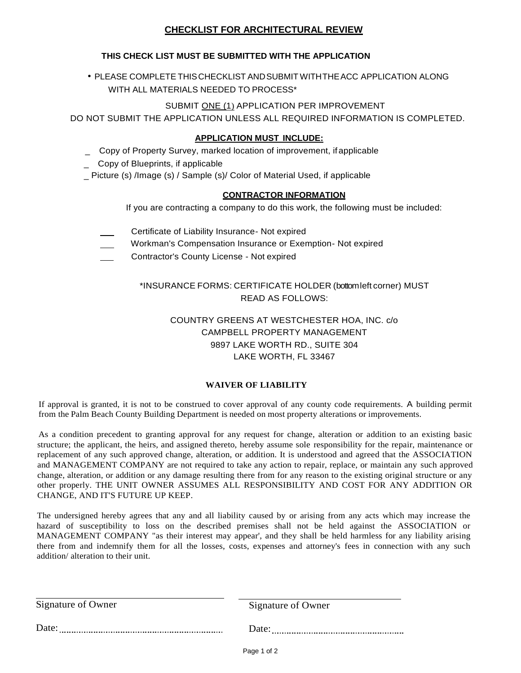# **CHECKLIST FOR ARCHITECTURAL REVIEW**

## **THIS CHECK LIST MUST BE SUBMITTED WITH THE APPLICATION**

• PLEASE COMPLETE THIS CHECKLIST AND SUBMIT WITH THE ACC APPLICATION ALONG WITH ALL MATERIALS NEEDED TO PROCESS\*

## SUBMIT ONE (1) APPLICATION PER IMPROVEMENT

DO NOT SUBMIT THE APPLICATION UNLESS ALL REQUIRED INFORMATION IS COMPLETED.

## **APPLICATION MUST INCLUDE:**

- \_ Copy of Property Survey, marked location of improvement, if applicable
- \_ Copy of Blueprints, if applicable
- \_ Picture (s) /Image (s) / Sample (s)/ Color of Material Used, if applicable

#### **CONTRACTOR INFORMATION**

If you are contracting a company to do this work, the following must be included:

- Certificate of Liability Insurance- Not expired
- Workman's Compensation Insurance or Exemption- Not expired
- Contractor's County License Not expired

## \*INSURANCE FORMS: CERTIFICATE HOLDER (bottom left corner) MUST READ AS FOLLOWS:

# COUNTRY GREENS AT WESTCHESTER HOA, INC. c/o CAMPBELL PROPERTY MANAGEMENT 9897 LAKE WORTH RD., SUITE 304 LAKE WORTH, FL 33467

#### **WAIVER OF LIABILITY**

If approval is granted, it is not to be construed to cover approval of any county code requirements. A building permit from the Palm Beach County Building Department is needed on most property alterations or improvements.

As a condition precedent to granting approval for any request for change, alteration or addition to an existing basic structure; the applicant, the heirs, and assigned thereto, hereby assume sole responsibility for the repair, maintenance or replacement of any such approved change, alteration, or addition. It is understood and agreed that the ASSOCIATION and MANAGEMENT COMPANY are not required to take any action to repair, replace, or maintain any such approved change, alteration, or addition or any damage resulting there from for any reason to the existing original structure or any other properly. THE UNIT OWNER ASSUMES ALL RESPONSIBILITY AND COST FOR ANY ADDITION OR CHANGE, AND IT'S FUTURE UP KEEP.

The undersigned hereby agrees that any and all liability caused by or arising from any acts which may increase the hazard of susceptibility to loss on the described premises shall not be held against the ASSOCIATION or MANAGEMENT COMPANY "as their interest may appear', and they shall be held harmless for any liability arising there from and indemnify them for all the losses, costs, expenses and attorney's fees in connection with any such addition/ alteration to their unit.

| Signature of Owner |
|--------------------|
| Date:              |
|                    |